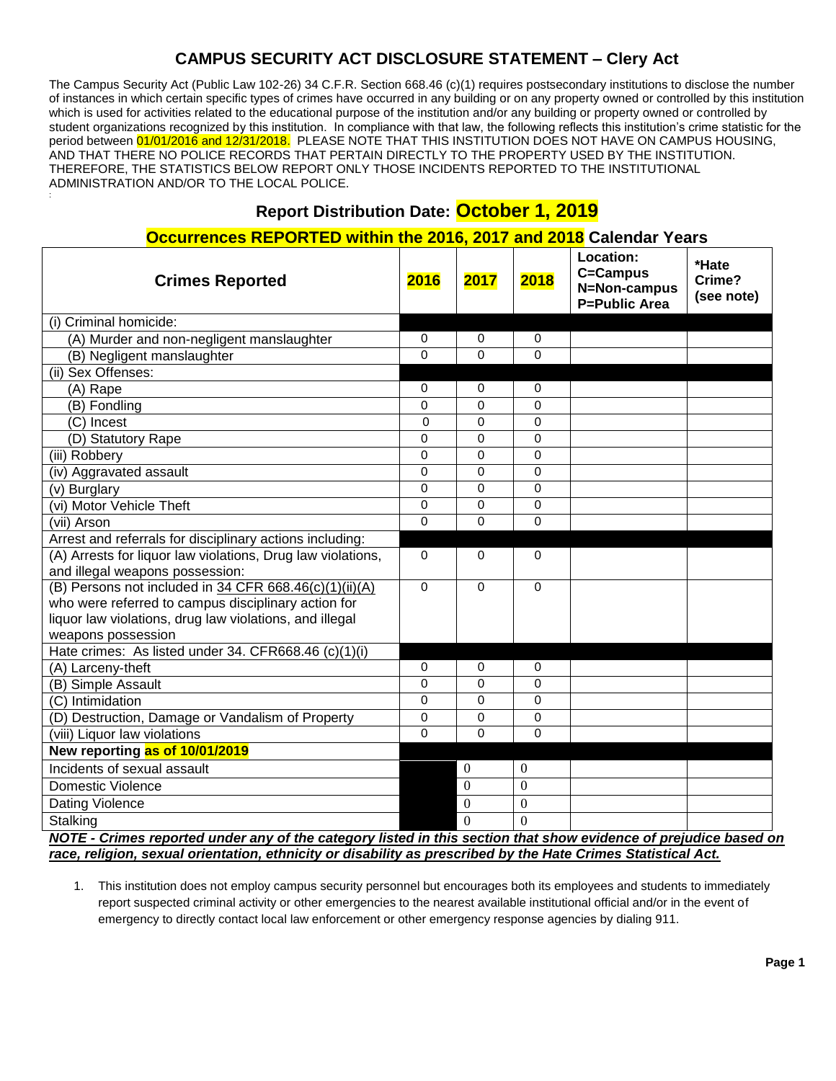# **CAMPUS SECURITY ACT DISCLOSURE STATEMENT – Clery Act**

The Campus Security Act (Public Law 102-26) 34 C.F.R. Section 668.46 (c)(1) requires postsecondary institutions to disclose the number of instances in which certain specific types of crimes have occurred in any building or on any property owned or controlled by this institution which is used for activities related to the educational purpose of the institution and/or any building or property owned or controlled by student organizations recognized by this institution. In compliance with that law, the following reflects this institution's crime statistic for the period between 01/01/2016 and 12/31/2018. PLEASE NOTE THAT THIS INSTITUTION DOES NOT HAVE ON CAMPUS HOUSING, AND THAT THERE NO POLICE RECORDS THAT PERTAIN DIRECTLY TO THE PROPERTY USED BY THE INSTITUTION. THEREFORE, THE STATISTICS BELOW REPORT ONLY THOSE INCIDENTS REPORTED TO THE INSTITUTIONAL ADMINISTRATION AND/OR TO THE LOCAL POLICE.

# **Report Distribution Date: October 1, 2019**

:

#### **Occurrences REPORTED within the 2016, 2017 and 2018 Calendar Years**

| <b>Crimes Reported</b>                                                                                           | 2016        | 2017           | 2018         | Location:<br>C=Campus<br>N=Non-campus<br><b>P=Public Area</b> | *Hate<br>Crime?<br>(see note) |  |
|------------------------------------------------------------------------------------------------------------------|-------------|----------------|--------------|---------------------------------------------------------------|-------------------------------|--|
| (i) Criminal homicide:                                                                                           |             |                |              |                                                               |                               |  |
| (A) Murder and non-negligent manslaughter                                                                        | 0           | 0              | 0            |                                                               |                               |  |
| (B) Negligent manslaughter                                                                                       | $\Omega$    | 0              | $\Omega$     |                                                               |                               |  |
| (ii) Sex Offenses:                                                                                               |             |                |              |                                                               |                               |  |
| (A) Rape                                                                                                         | 0           | 0              | $\Omega$     |                                                               |                               |  |
| (B) Fondling                                                                                                     | $\Omega$    | 0              | $\Omega$     |                                                               |                               |  |
| (C) Incest                                                                                                       | $\Omega$    | 0              | $\Omega$     |                                                               |                               |  |
| (D) Statutory Rape                                                                                               | 0           | 0              | $\Omega$     |                                                               |                               |  |
| (iii) Robbery                                                                                                    | 0           | 0              | $\Omega$     |                                                               |                               |  |
| (iv) Aggravated assault                                                                                          | 0           | 0              | 0            |                                                               |                               |  |
| (v) Burglary                                                                                                     | 0           | 0              | $\Omega$     |                                                               |                               |  |
| (vi) Motor Vehicle Theft                                                                                         | 0           | 0              | 0            |                                                               |                               |  |
| (vii) Arson                                                                                                      | 0           | 0              | $\Omega$     |                                                               |                               |  |
| Arrest and referrals for disciplinary actions including:                                                         |             |                |              |                                                               |                               |  |
| (A) Arrests for liquor law violations, Drug law violations,                                                      | $\Omega$    | 0              | $\Omega$     |                                                               |                               |  |
| and illegal weapons possession:                                                                                  |             |                |              |                                                               |                               |  |
| (B) Persons not included in $34$ CFR 668.46(c)(1)(ii)(A)                                                         | $\mathbf 0$ | 0              | $\Omega$     |                                                               |                               |  |
| who were referred to campus disciplinary action for                                                              |             |                |              |                                                               |                               |  |
| liquor law violations, drug law violations, and illegal                                                          |             |                |              |                                                               |                               |  |
| weapons possession                                                                                               |             |                |              |                                                               |                               |  |
| Hate crimes: As listed under 34. CFR668.46 (c)(1)(i)                                                             |             |                |              |                                                               |                               |  |
| (A) Larceny-theft                                                                                                | 0           | 0              | 0            |                                                               |                               |  |
| (B) Simple Assault                                                                                               | 0           | 0              | $\Omega$     |                                                               |                               |  |
| (C) Intimidation                                                                                                 | 0           | 0              | 0            |                                                               |                               |  |
| (D) Destruction, Damage or Vandalism of Property                                                                 | 0           | 0              | $\Omega$     |                                                               |                               |  |
| (viii) Liquor law violations                                                                                     | $\Omega$    | 0              | $\Omega$     |                                                               |                               |  |
| New reporting as of 10/01/2019                                                                                   |             |                |              |                                                               |                               |  |
| Incidents of sexual assault                                                                                      |             | $\mathbf{0}$   | $\theta$     |                                                               |                               |  |
| Domestic Violence                                                                                                |             | $\overline{0}$ | $\mathbf{0}$ |                                                               |                               |  |
| Dating Violence                                                                                                  |             | $\theta$       | $\Omega$     |                                                               |                               |  |
| Stalking                                                                                                         |             | $\Omega$       | $\Omega$     |                                                               |                               |  |
| NOTE - Crimes reported under any of the category listed in this section that show evidence of prejudice based on |             |                |              |                                                               |                               |  |
| race, religion, sexual orientation, ethnicity or disability as prescribed by the Hate Crimes Statistical Act.    |             |                |              |                                                               |                               |  |

1. This institution does not employ campus security personnel but encourages both its employees and students to immediately report suspected criminal activity or other emergencies to the nearest available institutional official and/or in the event of emergency to directly contact local law enforcement or other emergency response agencies by dialing 911.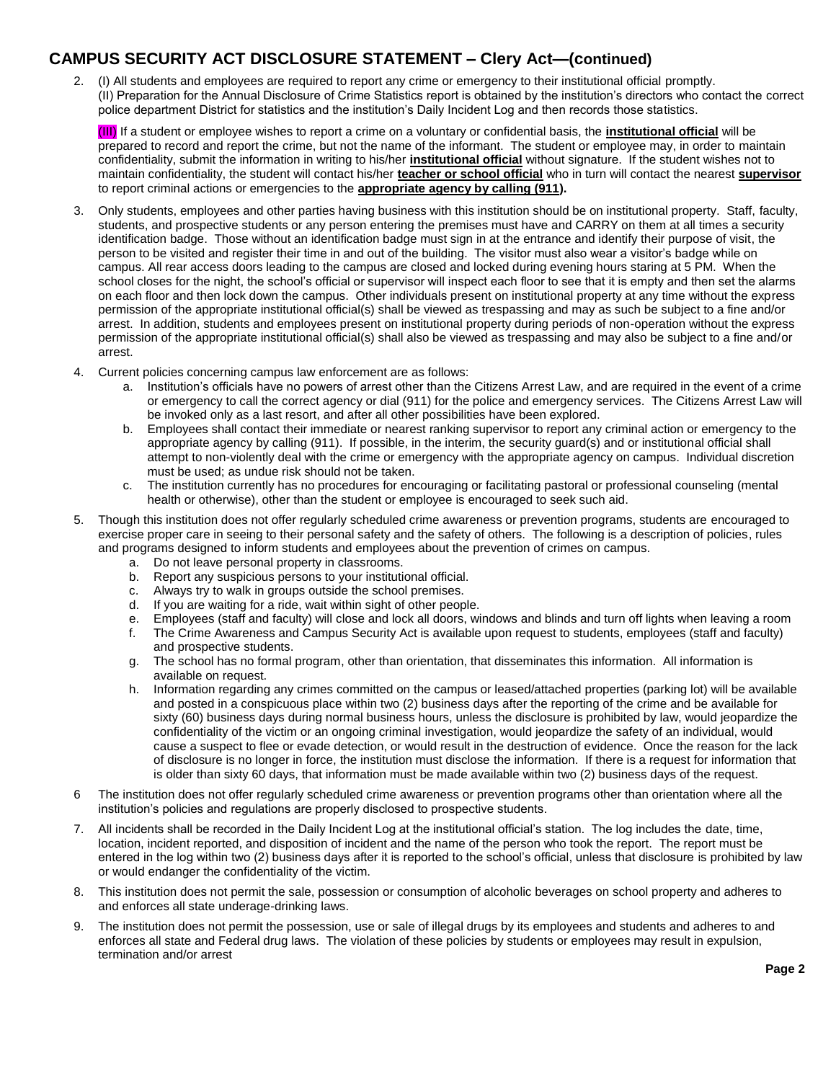#### **CAMPUS SECURITY ACT DISCLOSURE STATEMENT – Clery Act—(continued)**

2. (I) All students and employees are required to report any crime or emergency to their institutional official promptly. (II) Preparation for the Annual Disclosure of Crime Statistics report is obtained by the institution's directors who contact the correct police department District for statistics and the institution's Daily Incident Log and then records those statistics.

(III) If a student or employee wishes to report a crime on a voluntary or confidential basis, the **institutional official** will be prepared to record and report the crime, but not the name of the informant. The student or employee may, in order to maintain confidentiality, submit the information in writing to his/her **institutional official** without signature. If the student wishes not to maintain confidentiality, the student will contact his/her **teacher or school official** who in turn will contact the nearest **supervisor** to report criminal actions or emergencies to the **appropriate agency by calling (911).**

- 3. Only students, employees and other parties having business with this institution should be on institutional property. Staff, faculty, students, and prospective students or any person entering the premises must have and CARRY on them at all times a security identification badge. Those without an identification badge must sign in at the entrance and identify their purpose of visit, the person to be visited and register their time in and out of the building. The visitor must also wear a visitor's badge while on campus. All rear access doors leading to the campus are closed and locked during evening hours staring at 5 PM. When the school closes for the night, the school's official or supervisor will inspect each floor to see that it is empty and then set the alarms on each floor and then lock down the campus. Other individuals present on institutional property at any time without the express permission of the appropriate institutional official(s) shall be viewed as trespassing and may as such be subject to a fine and/or arrest. In addition, students and employees present on institutional property during periods of non-operation without the express permission of the appropriate institutional official(s) shall also be viewed as trespassing and may also be subject to a fine and/or arrest.
- 4. Current policies concerning campus law enforcement are as follows:
	- a. Institution's officials have no powers of arrest other than the Citizens Arrest Law, and are required in the event of a crime or emergency to call the correct agency or dial (911) for the police and emergency services. The Citizens Arrest Law will be invoked only as a last resort, and after all other possibilities have been explored.
	- b. Employees shall contact their immediate or nearest ranking supervisor to report any criminal action or emergency to the appropriate agency by calling (911). If possible, in the interim, the security guard(s) and or institutional official shall attempt to non-violently deal with the crime or emergency with the appropriate agency on campus. Individual discretion must be used; as undue risk should not be taken.
	- c. The institution currently has no procedures for encouraging or facilitating pastoral or professional counseling (mental health or otherwise), other than the student or employee is encouraged to seek such aid.
- 5. Though this institution does not offer regularly scheduled crime awareness or prevention programs, students are encouraged to exercise proper care in seeing to their personal safety and the safety of others. The following is a description of policies, rules and programs designed to inform students and employees about the prevention of crimes on campus.
	- a. Do not leave personal property in classrooms.
	- b. Report any suspicious persons to your institutional official.
	- c. Always try to walk in groups outside the school premises.
	- d. If you are waiting for a ride, wait within sight of other people.
	- e. Employees (staff and faculty) will close and lock all doors, windows and blinds and turn off lights when leaving a room
	- f. The Crime Awareness and Campus Security Act is available upon request to students, employees (staff and faculty) and prospective students.
	- g. The school has no formal program, other than orientation, that disseminates this information. All information is available on request.
	- h. Information regarding any crimes committed on the campus or leased/attached properties (parking lot) will be available and posted in a conspicuous place within two (2) business days after the reporting of the crime and be available for sixty (60) business days during normal business hours, unless the disclosure is prohibited by law, would jeopardize the confidentiality of the victim or an ongoing criminal investigation, would jeopardize the safety of an individual, would cause a suspect to flee or evade detection, or would result in the destruction of evidence. Once the reason for the lack of disclosure is no longer in force, the institution must disclose the information. If there is a request for information that is older than sixty 60 days, that information must be made available within two (2) business days of the request.
- 6 The institution does not offer regularly scheduled crime awareness or prevention programs other than orientation where all the institution's policies and regulations are properly disclosed to prospective students.
- 7. All incidents shall be recorded in the Daily Incident Log at the institutional official's station. The log includes the date, time, location, incident reported, and disposition of incident and the name of the person who took the report. The report must be entered in the log within two (2) business days after it is reported to the school's official, unless that disclosure is prohibited by law or would endanger the confidentiality of the victim.
- 8. This institution does not permit the sale, possession or consumption of alcoholic beverages on school property and adheres to and enforces all state underage-drinking laws.
- 9. The institution does not permit the possession, use or sale of illegal drugs by its employees and students and adheres to and enforces all state and Federal drug laws. The violation of these policies by students or employees may result in expulsion, termination and/or arrest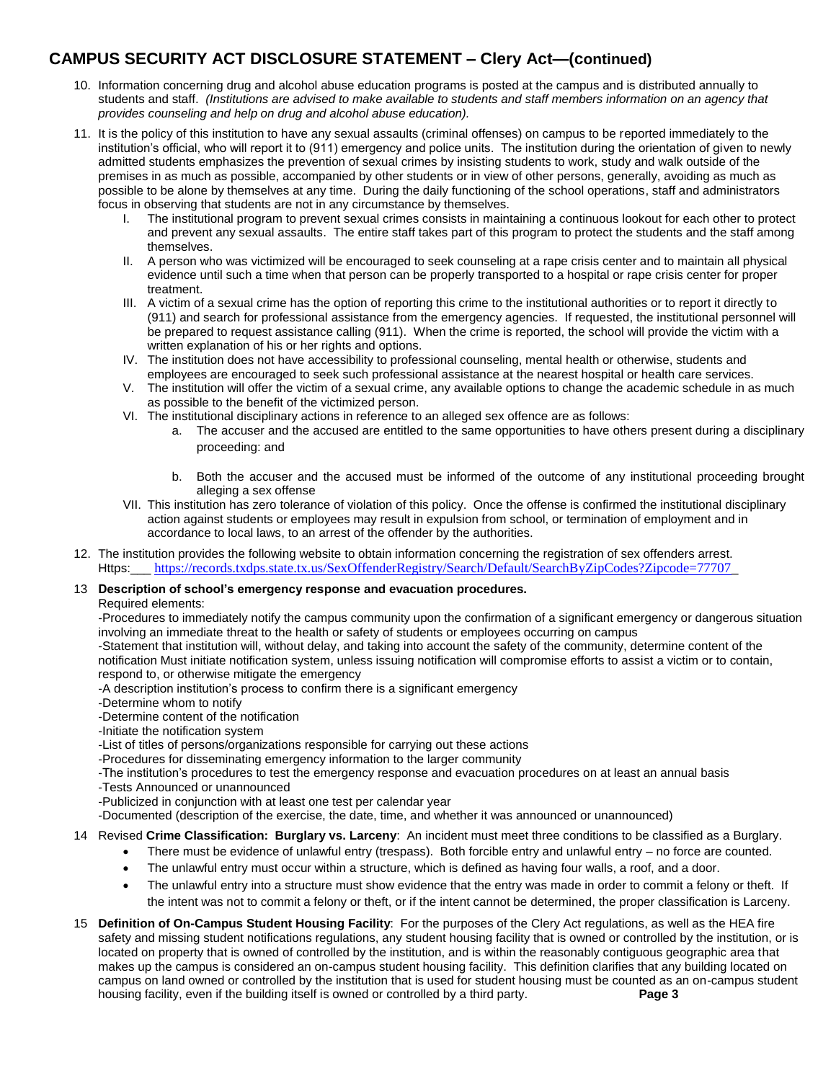### **CAMPUS SECURITY ACT DISCLOSURE STATEMENT – Clery Act—(continued)**

- 10. Information concerning drug and alcohol abuse education programs is posted at the campus and is distributed annually to students and staff. *(Institutions are advised to make available to students and staff members information on an agency that provides counseling and help on drug and alcohol abuse education).*
- 11. It is the policy of this institution to have any sexual assaults (criminal offenses) on campus to be reported immediately to the institution's official, who will report it to (911) emergency and police units. The institution during the orientation of given to newly admitted students emphasizes the prevention of sexual crimes by insisting students to work, study and walk outside of the premises in as much as possible, accompanied by other students or in view of other persons, generally, avoiding as much as possible to be alone by themselves at any time. During the daily functioning of the school operations, staff and administrators focus in observing that students are not in any circumstance by themselves.
	- I. The institutional program to prevent sexual crimes consists in maintaining a continuous lookout for each other to protect and prevent any sexual assaults. The entire staff takes part of this program to protect the students and the staff among themselves.
	- II. A person who was victimized will be encouraged to seek counseling at a rape crisis center and to maintain all physical evidence until such a time when that person can be properly transported to a hospital or rape crisis center for proper treatment.
	- III. A victim of a sexual crime has the option of reporting this crime to the institutional authorities or to report it directly to (911) and search for professional assistance from the emergency agencies. If requested, the institutional personnel will be prepared to request assistance calling (911). When the crime is reported, the school will provide the victim with a written explanation of his or her rights and options.
	- IV. The institution does not have accessibility to professional counseling, mental health or otherwise, students and employees are encouraged to seek such professional assistance at the nearest hospital or health care services.
	- V. The institution will offer the victim of a sexual crime, any available options to change the academic schedule in as much as possible to the benefit of the victimized person.
	- VI. The institutional disciplinary actions in reference to an alleged sex offence are as follows:
		- a. The accuser and the accused are entitled to the same opportunities to have others present during a disciplinary proceeding: and
		- b. Both the accuser and the accused must be informed of the outcome of any institutional proceeding brought alleging a sex offense
	- VII. This institution has zero tolerance of violation of this policy. Once the offense is confirmed the institutional disciplinary action against students or employees may result in expulsion from school, or termination of employment and in accordance to local laws, to an arrest of the offender by the authorities.
- 12. The institution provides the following website to obtain information concerning the registration of sex offenders arrest. Https:\_\_\_ <https://records.txdps.state.tx.us/SexOffenderRegistry/Search/Default/SearchByZipCodes?Zipcode=77707>\_

#### 13 **Description of school's emergency response and evacuation procedures.**

#### Required elements:

-Procedures to immediately notify the campus community upon the confirmation of a significant emergency or dangerous situation involving an immediate threat to the health or safety of students or employees occurring on campus

-Statement that institution will, without delay, and taking into account the safety of the community, determine content of the notification Must initiate notification system, unless issuing notification will compromise efforts to assist a victim or to contain, respond to, or otherwise mitigate the emergency

- -A description institution's process to confirm there is a significant emergency
- -Determine whom to notify
- -Determine content of the notification
- -Initiate the notification system
- -List of titles of persons/organizations responsible for carrying out these actions
- -Procedures for disseminating emergency information to the larger community

-The institution's procedures to test the emergency response and evacuation procedures on at least an annual basis

- -Tests Announced or unannounced
- -Publicized in conjunction with at least one test per calendar year

-Documented (description of the exercise, the date, time, and whether it was announced or unannounced)

#### 14 Revised **Crime Classification: Burglary vs. Larceny**: An incident must meet three conditions to be classified as a Burglary.

- There must be evidence of unlawful entry (trespass). Both forcible entry and unlawful entry no force are counted.
- The unlawful entry must occur within a structure, which is defined as having four walls, a roof, and a door.
- The unlawful entry into a structure must show evidence that the entry was made in order to commit a felony or theft. If the intent was not to commit a felony or theft, or if the intent cannot be determined, the proper classification is Larceny.
- 15 **Definition of On-Campus Student Housing Facility**: For the purposes of the Clery Act regulations, as well as the HEA fire safety and missing student notifications regulations, any student housing facility that is owned or controlled by the institution, or is located on property that is owned of controlled by the institution, and is within the reasonably contiguous geographic area that makes up the campus is considered an on-campus student housing facility. This definition clarifies that any building located on campus on land owned or controlled by the institution that is used for student housing must be counted as an on-campus student housing facility, even if the building itself is owned or controlled by a third party. **Page 3**